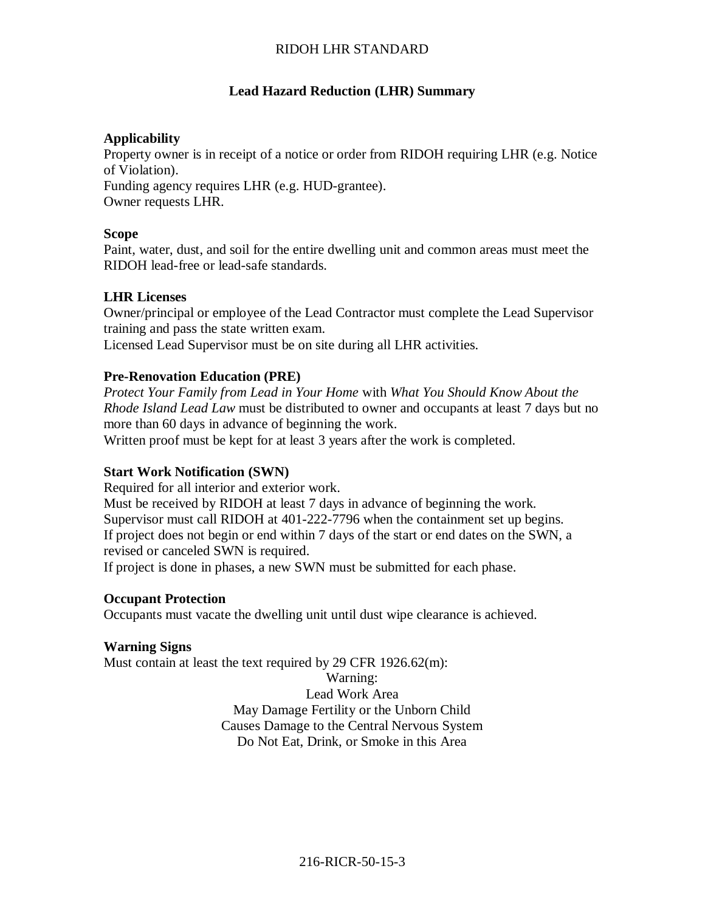### **Lead Hazard Reduction (LHR) Summary**

#### **Applicability**

Property owner is in receipt of a notice or order from RIDOH requiring LHR (e.g. Notice of Violation). Funding agency requires LHR (e.g. HUD-grantee). Owner requests LHR.

#### **Scope**

Paint, water, dust, and soil for the entire dwelling unit and common areas must meet the RIDOH lead-free or lead-safe standards.

### **LHR Licenses**

Owner/principal or employee of the Lead Contractor must complete the Lead Supervisor training and pass the state written exam.

Licensed Lead Supervisor must be on site during all LHR activities.

#### **Pre-Renovation Education (PRE)**

*Protect Your Family from Lead in Your Home* with *What You Should Know About the Rhode Island Lead Law* must be distributed to owner and occupants at least 7 days but no more than 60 days in advance of beginning the work.

Written proof must be kept for at least 3 years after the work is completed.

### **Start Work Notification (SWN)**

Required for all interior and exterior work.

Must be received by RIDOH at least 7 days in advance of beginning the work. Supervisor must call RIDOH at 401-222-7796 when the containment set up begins. If project does not begin or end within 7 days of the start or end dates on the SWN, a revised or canceled SWN is required.

If project is done in phases, a new SWN must be submitted for each phase.

#### **Occupant Protection**

Occupants must vacate the dwelling unit until dust wipe clearance is achieved.

#### **Warning Signs**

Must contain at least the text required by 29 CFR 1926.62(m):

Warning: Lead Work Area May Damage Fertility or the Unborn Child Causes Damage to the Central Nervous System Do Not Eat, Drink, or Smoke in this Area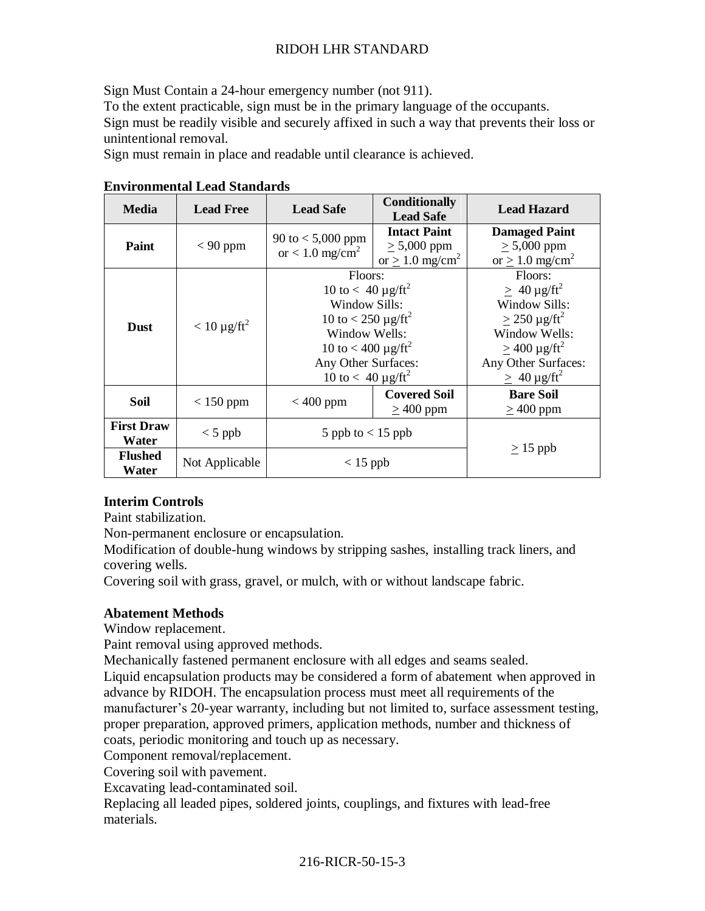Sign Must Contain a 24-hour emergency number (not 911).

To the extent practicable, sign must be in the primary language of the occupants.

Sign must be readily visible and securely affixed in such a way that prevents their loss or unintentional removal.

Sign must remain in place and readable until clearance is achieved.

| <b>Media</b>               | <b>Lead Free</b>  | <b>Lead Safe</b>                                                                                                                                                                                                       | <b>Conditionally</b><br><b>Lead Safe</b>                                 | <b>Lead Hazard</b>                                                                                                                                                                                |
|----------------------------|-------------------|------------------------------------------------------------------------------------------------------------------------------------------------------------------------------------------------------------------------|--------------------------------------------------------------------------|---------------------------------------------------------------------------------------------------------------------------------------------------------------------------------------------------|
| Paint                      | $< 90$ ppm        | 90 to $< 5,000$ ppm<br>or $< 1.0$ mg/cm <sup>2</sup>                                                                                                                                                                   | <b>Intact Paint</b><br>$\geq 5,000$ ppm<br>or $> 1.0$ mg/cm <sup>2</sup> | <b>Damaged Paint</b><br>$\geq 5,000$ ppm<br>or $> 1.0$ mg/cm <sup>2</sup>                                                                                                                         |
| <b>Dust</b>                | $< 10 \mu g/ft^2$ | Floors:<br>10 to $< 40 \mu g / \text{ft}^2$<br>Window Sills:<br>10 to < 250 $\mu$ g/ft <sup>2</sup><br>Window Wells:<br>10 to < 400 $\mu$ g/ft <sup>2</sup><br>Any Other Surfaces:<br>10 to $< 40 \mu g / \text{ft}^2$ |                                                                          | Floors:<br>$> 40 \mu g / \text{ft}^2$<br>Window Sills:<br>$\geq$ 250 µg/ft <sup>2</sup><br>Window Wells:<br>$\geq$ 400 µg/ft <sup>2</sup><br>Any Other Surfaces:<br>$\geq 40 \mu g / \text{ft}^2$ |
| Soil                       | $< 150$ ppm       | $< 400$ ppm                                                                                                                                                                                                            | <b>Covered Soil</b><br>$\geq$ 400 ppm                                    | <b>Bare Soil</b><br>$\geq$ 400 ppm                                                                                                                                                                |
| <b>First Draw</b><br>Water | $<$ 5 ppb         | 5 ppb to $< 15$ ppb                                                                                                                                                                                                    |                                                                          |                                                                                                                                                                                                   |
| <b>Flushed</b><br>Water    | Not Applicable    | $< 15$ ppb                                                                                                                                                                                                             |                                                                          | $\geq$ 15 ppb                                                                                                                                                                                     |

### **Environmental Lead Standards**

### **Interim Controls**

Paint stabilization.

Non-permanent enclosure or encapsulation.

Modification of double-hung windows by stripping sashes, installing track liners, and covering wells.

Covering soil with grass, gravel, or mulch, with or without landscape fabric.

### **Abatement Methods**

Window replacement.

Paint removal using approved methods.

Mechanically fastened permanent enclosure with all edges and seams sealed. Liquid encapsulation products may be considered a form of abatement when approved in advance by RIDOH. The encapsulation process must meet all requirements of the manufacturer's 20-year warranty, including but not limited to, surface assessment testing, proper preparation, approved primers, application methods, number and thickness of coats, periodic monitoring and touch up as necessary.

Component removal/replacement.

Covering soil with pavement.

Excavating lead-contaminated soil.

Replacing all leaded pipes, soldered joints, couplings, and fixtures with lead-free materials.

# 216-RICR-50-15-3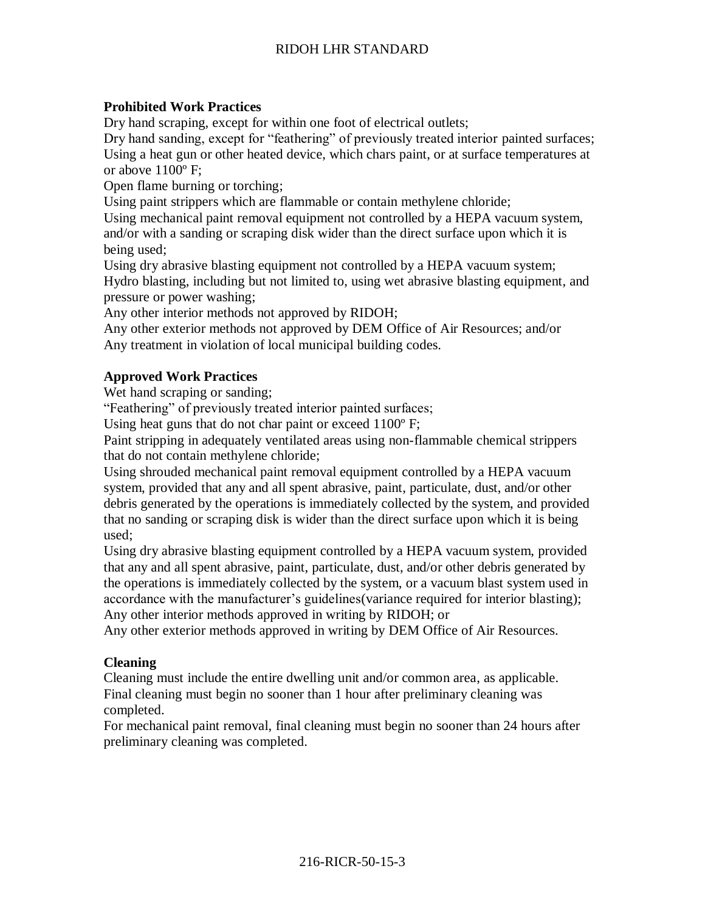## **Prohibited Work Practices**

Dry hand scraping, except for within one foot of electrical outlets;

Dry hand sanding, except for "feathering" of previously treated interior painted surfaces; Using a heat gun or other heated device, which chars paint, or at surface temperatures at or above 1100º F;

Open flame burning or torching;

Using paint strippers which are flammable or contain methylene chloride;

Using mechanical paint removal equipment not controlled by a HEPA vacuum system, and/or with a sanding or scraping disk wider than the direct surface upon which it is being used;

Using dry abrasive blasting equipment not controlled by a HEPA vacuum system; Hydro blasting, including but not limited to, using wet abrasive blasting equipment, and pressure or power washing;

Any other interior methods not approved by RIDOH;

Any other exterior methods not approved by DEM Office of Air Resources; and/or Any treatment in violation of local municipal building codes.

### **Approved Work Practices**

Wet hand scraping or sanding;

"Feathering" of previously treated interior painted surfaces;

Using heat guns that do not char paint or exceed 1100º F;

Paint stripping in adequately ventilated areas using non-flammable chemical strippers that do not contain methylene chloride;

Using shrouded mechanical paint removal equipment controlled by a HEPA vacuum system, provided that any and all spent abrasive, paint, particulate, dust, and/or other debris generated by the operations is immediately collected by the system, and provided that no sanding or scraping disk is wider than the direct surface upon which it is being used;

Using dry abrasive blasting equipment controlled by a HEPA vacuum system, provided that any and all spent abrasive, paint, particulate, dust, and/or other debris generated by the operations is immediately collected by the system, or a vacuum blast system used in accordance with the manufacturer's guidelines(variance required for interior blasting); Any other interior methods approved in writing by RIDOH; or

Any other exterior methods approved in writing by DEM Office of Air Resources.

### **Cleaning**

Cleaning must include the entire dwelling unit and/or common area, as applicable. Final cleaning must begin no sooner than 1 hour after preliminary cleaning was completed.

For mechanical paint removal, final cleaning must begin no sooner than 24 hours after preliminary cleaning was completed.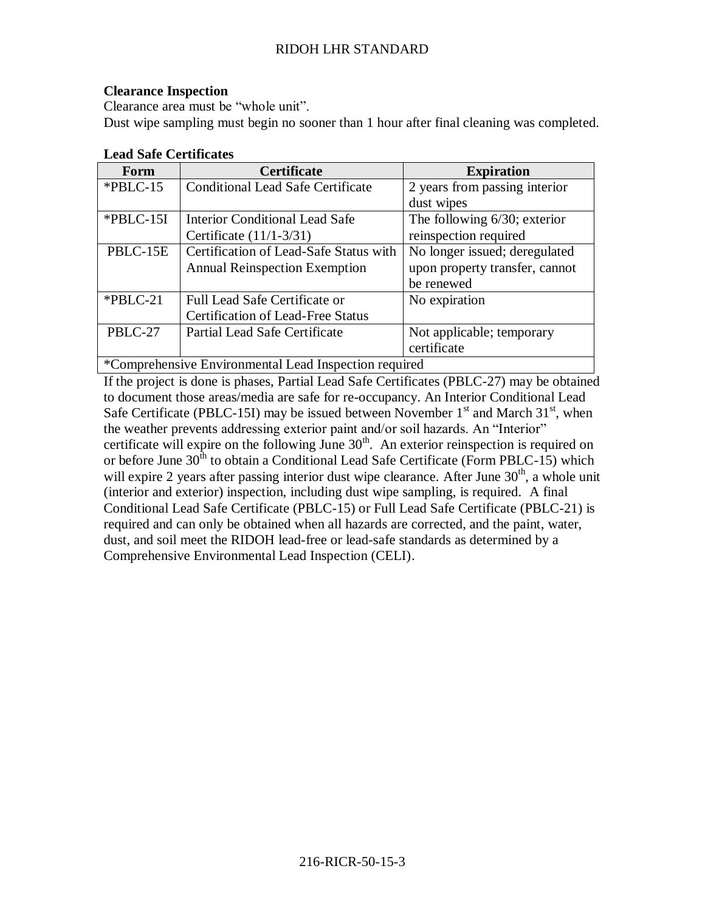### **Clearance Inspection**

Clearance area must be "whole unit". Dust wipe sampling must begin no sooner than 1 hour after final cleaning was completed.

| Form                                                  | <b>Certificate</b>                       | <b>Expiration</b>               |  |  |
|-------------------------------------------------------|------------------------------------------|---------------------------------|--|--|
| $*PBLC-15$                                            | <b>Conditional Lead Safe Certificate</b> | 2 years from passing interior   |  |  |
|                                                       |                                          | dust wipes                      |  |  |
| *PBLC-15I                                             | <b>Interior Conditional Lead Safe</b>    | The following $6/30$ ; exterior |  |  |
|                                                       | Certificate $(11/1-3/31)$                | reinspection required           |  |  |
| PBLC-15E                                              | Certification of Lead-Safe Status with   | No longer issued; deregulated   |  |  |
|                                                       | <b>Annual Reinspection Exemption</b>     | upon property transfer, cannot  |  |  |
|                                                       |                                          | be renewed                      |  |  |
| $*PBLC-21$                                            | <b>Full Lead Safe Certificate or</b>     | No expiration                   |  |  |
|                                                       | <b>Certification of Lead-Free Status</b> |                                 |  |  |
| PBLC-27                                               | Partial Lead Safe Certificate            | Not applicable; temporary       |  |  |
|                                                       |                                          | certificate                     |  |  |
| *Comprehensive Environmental Lead Inspection required |                                          |                                 |  |  |

### **Lead Safe Certificates**

If the project is done is phases, Partial Lead Safe Certificates (PBLC-27) may be obtained to document those areas/media are safe for re-occupancy. An Interior Conditional Lead Safe Certificate (PBLC-15I) may be issued between November  $1<sup>st</sup>$  and March 31<sup>st</sup>, when the weather prevents addressing exterior paint and/or soil hazards. An "Interior" certificate will expire on the following June  $30<sup>th</sup>$ . An exterior reinspection is required on or before June  $30<sup>th</sup>$  to obtain a Conditional Lead Safe Certificate (Form PBLC-15) which will expire 2 years after passing interior dust wipe clearance. After June  $30<sup>th</sup>$ , a whole unit (interior and exterior) inspection, including dust wipe sampling, is required. A final Conditional Lead Safe Certificate (PBLC-15) or Full Lead Safe Certificate (PBLC-21) is required and can only be obtained when all hazards are corrected, and the paint, water, dust, and soil meet the RIDOH lead-free or lead-safe standards as determined by a Comprehensive Environmental Lead Inspection (CELI).